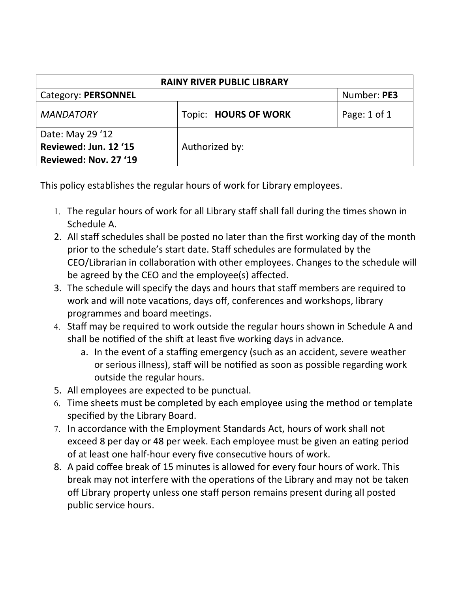| <b>RAINY RIVER PUBLIC LIBRARY</b>                                  |                             |              |  |
|--------------------------------------------------------------------|-----------------------------|--------------|--|
| Category: PERSONNEL                                                |                             | Number: PE3  |  |
| <b>MANDATORY</b>                                                   | <b>Topic: HOURS OF WORK</b> | Page: 1 of 1 |  |
| Date: May 29 '12<br>Reviewed: Jun. 12 '15<br>Reviewed: Nov. 27 '19 | Authorized by:              |              |  |

This policy establishes the regular hours of work for Library employees.

- 1. The regular hours of work for all Library staff shall fall during the times shown in Schedule A.
- 2. All staff schedules shall be posted no later than the first working day of the month prior to the schedule's start date. Staff schedules are formulated by the CEO/Librarian in collaboration with other employees. Changes to the schedule will be agreed by the CEO and the employee(s) affected.
- 3. The schedule will specify the days and hours that staff members are required to work and will note vacations, days off, conferences and workshops, library programmes and board meetings.
- 4. Staff may be required to work outside the regular hours shown in Schedule A and shall be notified of the shift at least five working days in advance.
	- a. In the event of a staffing emergency (such as an accident, severe weather or serious illness), staff will be notified as soon as possible regarding work outside the regular hours.
- 5. All employees are expected to be punctual.
- 6. Time sheets must be completed by each employee using the method or template specified by the Library Board.
- 7. In accordance with the Employment Standards Act, hours of work shall not exceed 8 per day or 48 per week. Each employee must be given an eating period of at least one half-hour every five consecutive hours of work.
- 8. A paid coffee break of 15 minutes is allowed for every four hours of work. This break may not interfere with the operations of the Library and may not be taken off Library property unless one staff person remains present during all posted public service hours.